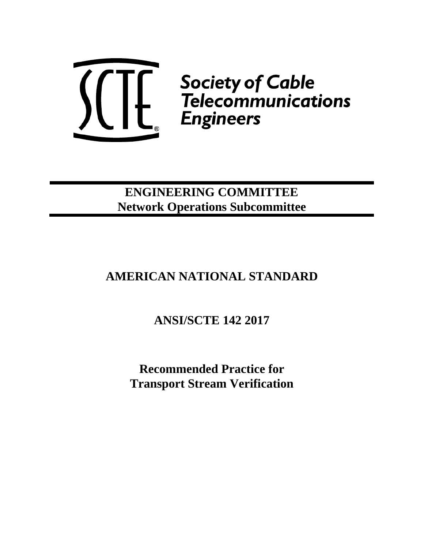

# **ENGINEERING COMMITTEE Network Operations Subcommittee**

# **AMERICAN NATIONAL STANDARD**

**ANSI/SCTE 142 2017**

**Recommended Practice for Transport Stream Verification**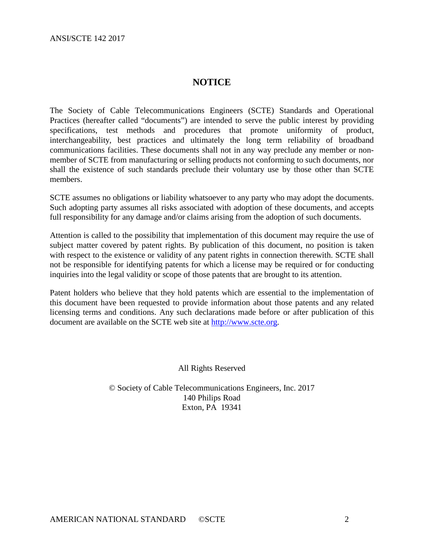# **NOTICE**

The Society of Cable Telecommunications Engineers (SCTE) Standards and Operational Practices (hereafter called "documents") are intended to serve the public interest by providing specifications, test methods and procedures that promote uniformity of product, interchangeability, best practices and ultimately the long term reliability of broadband communications facilities. These documents shall not in any way preclude any member or nonmember of SCTE from manufacturing or selling products not conforming to such documents, nor shall the existence of such standards preclude their voluntary use by those other than SCTE members.

SCTE assumes no obligations or liability whatsoever to any party who may adopt the documents. Such adopting party assumes all risks associated with adoption of these documents, and accepts full responsibility for any damage and/or claims arising from the adoption of such documents.

Attention is called to the possibility that implementation of this document may require the use of subject matter covered by patent rights. By publication of this document, no position is taken with respect to the existence or validity of any patent rights in connection therewith. SCTE shall not be responsible for identifying patents for which a license may be required or for conducting inquiries into the legal validity or scope of those patents that are brought to its attention.

Patent holders who believe that they hold patents which are essential to the implementation of this document have been requested to provide information about those patents and any related licensing terms and conditions. Any such declarations made before or after publication of this document are available on the SCTE web site at [http://www.scte.org.](http://www.scte.org/)

All Rights Reserved

© Society of Cable Telecommunications Engineers, Inc. 2017 140 Philips Road Exton, PA 19341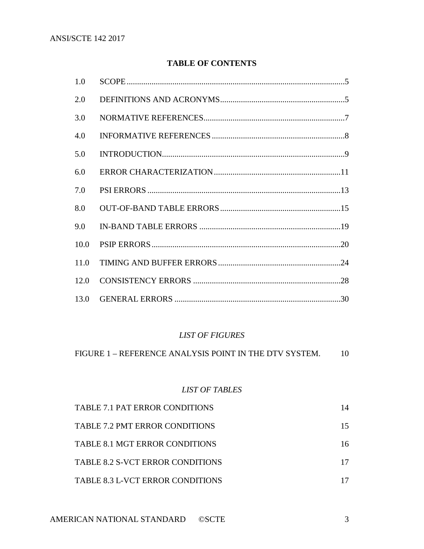# **TABLE OF CONTENTS**

| 1.0  |  |
|------|--|
| 2.0  |  |
| 3.0  |  |
| 4.0  |  |
| 5.0  |  |
| 6.0  |  |
| 7.0  |  |
| 8.0  |  |
| 9.0  |  |
| 10.0 |  |
| 11.0 |  |
| 12.0 |  |
|      |  |

### *LIST OF FIGURES*

FIGURE 1 – REFERENCE [ANALYSIS POINT IN THE DTV SYSTEM.](#page-9-0) 10

# *LIST OF TABLES*

| <b>TABLE 7.1 PAT ERROR CONDITIONS</b>   | 14 |
|-----------------------------------------|----|
| <b>TABLE 7.2 PMT ERROR CONDITIONS</b>   | 15 |
| <b>TABLE 8.1 MGT ERROR CONDITIONS</b>   | 16 |
| <b>TABLE 8.2 S-VCT ERROR CONDITIONS</b> |    |
| <b>TABLE 8.3 L-VCT ERROR CONDITIONS</b> |    |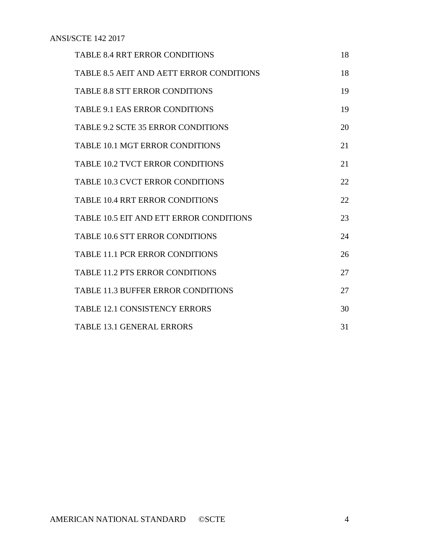| <b>TABLE 8.4 RRT ERROR CONDITIONS</b>           | 18 |
|-------------------------------------------------|----|
| <b>TABLE 8.5 AEIT AND AETT ERROR CONDITIONS</b> | 18 |
| <b>TABLE 8.8 STT ERROR CONDITIONS</b>           | 19 |
| <b>TABLE 9.1 EAS ERROR CONDITIONS</b>           | 19 |
| <b>TABLE 9.2 SCTE 35 ERROR CONDITIONS</b>       | 20 |
| <b>TABLE 10.1 MGT ERROR CONDITIONS</b>          | 21 |
| <b>TABLE 10.2 TVCT ERROR CONDITIONS</b>         | 21 |
| <b>TABLE 10.3 CVCT ERROR CONDITIONS</b>         | 22 |
| <b>TABLE 10.4 RRT ERROR CONDITIONS</b>          | 22 |
| <b>TABLE 10.5 EIT AND ETT ERROR CONDITIONS</b>  | 23 |
| <b>TABLE 10.6 STT ERROR CONDITIONS</b>          | 24 |
| <b>TABLE 11.1 PCR ERROR CONDITIONS</b>          | 26 |
| <b>TABLE 11.2 PTS ERROR CONDITIONS</b>          | 27 |
| <b>TABLE 11.3 BUFFER ERROR CONDITIONS</b>       | 27 |
| <b>TABLE 12.1 CONSISTENCY ERRORS</b>            | 30 |
| <b>TABLE 13.1 GENERAL ERRORS</b>                | 31 |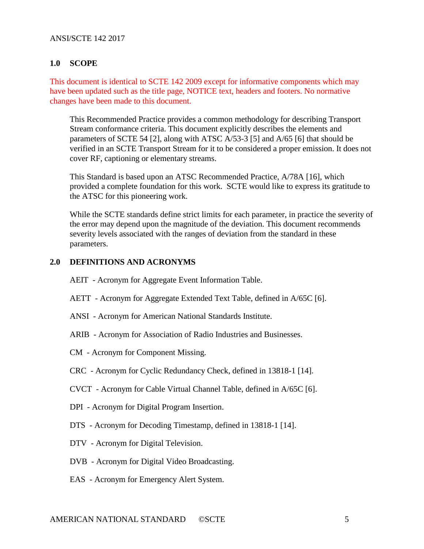#### <span id="page-4-0"></span>**1.0 SCOPE**

This document is identical to SCTE 142 2009 except for informative components which may have been updated such as the title page, NOTICE text, headers and footers. No normative changes have been made to this document.

This Recommended Practice provides a common methodology for describing Transport Stream conformance criteria. This document explicitly describes the elements and parameters of SCTE 54 [2], along with ATSC A/53-3 [5] and A/65 [6] that should be verified in an SCTE Transport Stream for it to be considered a proper emission. It does not cover RF, captioning or elementary streams.

This Standard is based upon an ATSC Recommended Practice, A/78A [16], which provided a complete foundation for this work. SCTE would like to express its gratitude to the ATSC for this pioneering work.

While the SCTE standards define strict limits for each parameter, in practice the severity of the error may depend upon the magnitude of the deviation. This document recommends severity levels associated with the ranges of deviation from the standard in these parameters.

#### <span id="page-4-1"></span>**2.0 DEFINITIONS AND ACRONYMS**

- AEIT Acronym for Aggregate Event Information Table.
- AETT Acronym for Aggregate Extended Text Table, defined in A/65C [6].
- ANSI Acronym for American National Standards Institute.
- ARIB Acronym for Association of Radio Industries and Businesses.
- CM Acronym for Component Missing.
- CRC Acronym for Cyclic Redundancy Check, defined in 13818-1 [14].
- CVCT Acronym for Cable Virtual Channel Table, defined in A/65C [6].
- DPI Acronym for Digital Program Insertion.
- DTS Acronym for Decoding Timestamp, defined in 13818-1 [14].
- DTV Acronym for Digital Television.
- DVB Acronym for Digital Video Broadcasting.
- EAS Acronym for Emergency Alert System.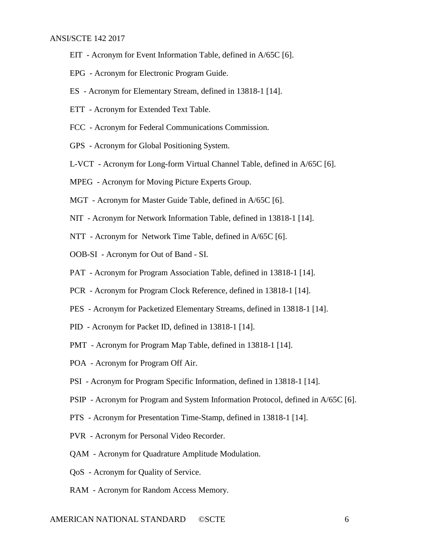- EIT Acronym for Event Information Table, defined in A/65C [6].
- EPG Acronym for Electronic Program Guide.
- ES Acronym for Elementary Stream, defined in 13818-1 [14].
- ETT Acronym for Extended Text Table.
- FCC Acronym for Federal Communications Commission.
- GPS Acronym for Global Positioning System.
- L-VCT Acronym for Long-form Virtual Channel Table, defined in A/65C [6].
- MPEG Acronym for Moving Picture Experts Group.
- MGT Acronym for Master Guide Table, defined in A/65C [6].
- NIT Acronym for Network Information Table, defined in 13818-1 [14].
- NTT Acronym for Network Time Table, defined in A/65C [6].
- OOB-SI Acronym for Out of Band SI.
- PAT Acronym for Program Association Table, defined in 13818-1 [14].
- PCR Acronym for Program Clock Reference, defined in 13818-1 [14].
- PES Acronym for Packetized Elementary Streams, defined in 13818-1 [14].
- PID Acronym for Packet ID, defined in 13818-1 [14].
- PMT Acronym for Program Map Table, defined in 13818-1 [14].
- POA Acronym for Program Off Air.
- PSI Acronym for Program Specific Information, defined in 13818-1 [14].
- PSIP Acronym for Program and System Information Protocol, defined in A/65C [6].
- PTS Acronym for Presentation Time-Stamp, defined in 13818-1 [14].
- PVR Acronym for Personal Video Recorder.
- QAM Acronym for Quadrature Amplitude Modulation.
- QoS Acronym for Quality of Service.
- RAM Acronym for Random Access Memory.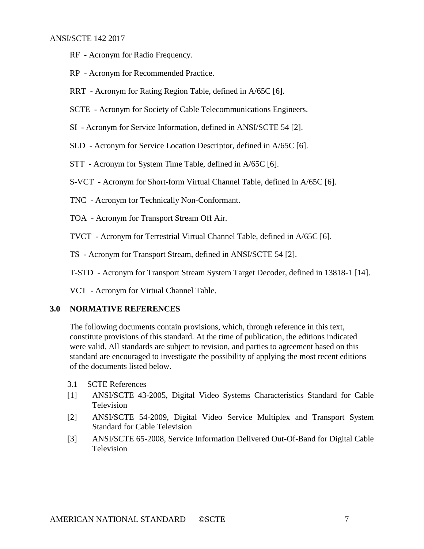- RF Acronym for Radio Frequency.
- RP Acronym for Recommended Practice.
- RRT Acronym for Rating Region Table, defined in A/65C [6].
- SCTE Acronym for Society of Cable Telecommunications Engineers.
- SI Acronym for Service Information, defined in ANSI/SCTE 54 [2].
- SLD Acronym for Service Location Descriptor, defined in A/65C [6].
- STT Acronym for System Time Table, defined in A/65C [6].
- S-VCT Acronym for Short-form Virtual Channel Table, defined in A/65C [6].
- TNC Acronym for Technically Non-Conformant.
- TOA Acronym for Transport Stream Off Air.
- TVCT Acronym for Terrestrial Virtual Channel Table, defined in A/65C [6].
- TS Acronym for Transport Stream, defined in ANSI/SCTE 54 [2].
- T-STD Acronym for Transport Stream System Target Decoder, defined in 13818-1 [14].

VCT - Acronym for Virtual Channel Table.

#### <span id="page-6-0"></span>**3.0 NORMATIVE REFERENCES**

The following documents contain provisions, which, through reference in this text, constitute provisions of this standard. At the time of publication, the editions indicated were valid. All standards are subject to revision, and parties to agreement based on this standard are encouraged to investigate the possibility of applying the most recent editions of the documents listed below.

- 3.1 SCTE References
- [1] ANSI/SCTE 43-2005, Digital Video Systems Characteristics Standard for Cable Television
- [2] ANSI/SCTE 54-2009, Digital Video Service Multiplex and Transport System Standard for Cable Television
- [3] ANSI/SCTE 65-2008, Service Information Delivered Out-Of-Band for Digital Cable **Television**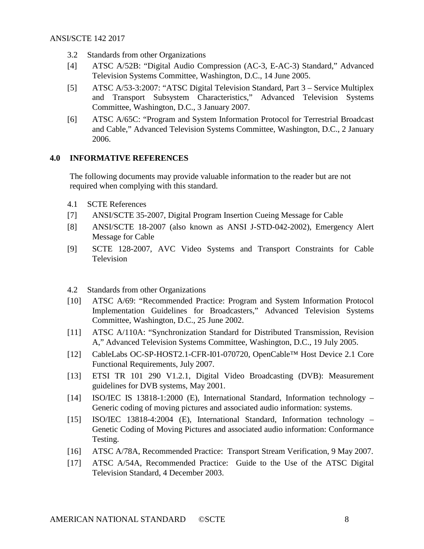- 3.2 Standards from other Organizations
- [4] ATSC A/52B: "Digital Audio Compression (AC-3, E-AC-3) Standard," Advanced Television Systems Committee, Washington, D.C., 14 June 2005.
- [5] ATSC A/53-3:2007: "ATSC Digital Television Standard, Part 3 Service Multiplex and Transport Subsystem Characteristics," Advanced Television Systems Committee, Washington, D.C., 3 January 2007.
- [6] ATSC A/65C: "Program and System Information Protocol for Terrestrial Broadcast and Cable," Advanced Television Systems Committee, Washington, D.C., 2 January 2006.

#### <span id="page-7-0"></span>**4.0 INFORMATIVE REFERENCES**

The following documents may provide valuable information to the reader but are not required when complying with this standard.

- 4.1 SCTE References
- [7] ANSI/SCTE 35-2007, Digital Program Insertion Cueing Message for Cable
- [8] ANSI/SCTE 18-2007 (also known as ANSI J-STD-042-2002), Emergency Alert Message for Cable
- [9] SCTE 128-2007, AVC Video Systems and Transport Constraints for Cable Television
- 4.2 Standards from other Organizations
- [10] ATSC A/69: "Recommended Practice: Program and System Information Protocol Implementation Guidelines for Broadcasters," Advanced Television Systems Committee, Washington, D.C., 25 June 2002.
- [11] ATSC A/110A: "Synchronization Standard for Distributed Transmission, Revision A," Advanced Television Systems Committee, Washington, D.C., 19 July 2005.
- [12] CableLabs OC-SP-HOST2.1-CFR-I01-070720, OpenCable™ Host Device 2.1 Core Functional Requirements, July 2007.
- [13] ETSI TR 101 290 V1.2.1, Digital Video Broadcasting (DVB): Measurement guidelines for DVB systems, May 2001.
- [14] ISO/IEC IS 13818-1:2000 (E), International Standard, Information technology Generic coding of moving pictures and associated audio information: systems.
- [15] ISO/IEC 13818-4:2004 (E), International Standard, Information technology Genetic Coding of Moving Pictures and associated audio information: Conformance Testing.
- [16] ATSC A/78A, Recommended Practice: Transport Stream Verification, 9 May 2007.
- [17] ATSC A/54A, Recommended Practice: Guide to the Use of the ATSC Digital Television Standard, 4 December 2003.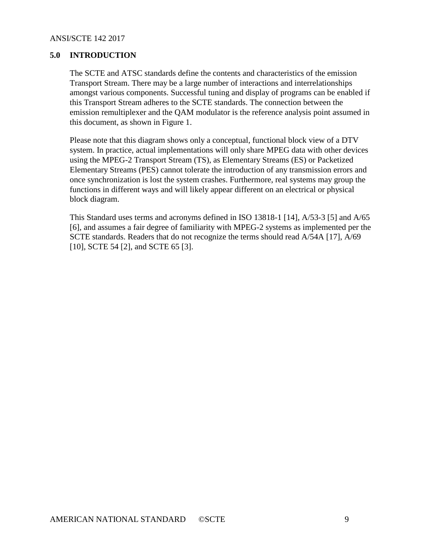# <span id="page-8-0"></span>**5.0 INTRODUCTION**

The SCTE and ATSC standards define the contents and characteristics of the emission Transport Stream. There may be a large number of interactions and interrelationships amongst various components. Successful tuning and display of programs can be enabled if this Transport Stream adheres to the SCTE standards. The connection between the emission remultiplexer and the QAM modulator is the reference analysis point assumed in this document, as shown in Figure 1.

Please note that this diagram shows only a conceptual, functional block view of a DTV system. In practice, actual implementations will only share MPEG data with other devices using the MPEG-2 Transport Stream (TS), as Elementary Streams (ES) or Packetized Elementary Streams (PES) cannot tolerate the introduction of any transmission errors and once synchronization is lost the system crashes. Furthermore, real systems may group the functions in different ways and will likely appear different on an electrical or physical block diagram.

This Standard uses terms and acronyms defined in ISO 13818-1 [14], A/53-3 [5] and A/65 [6], and assumes a fair degree of familiarity with MPEG-2 systems as implemented per the SCTE standards. Readers that do not recognize the terms should read A/54A [17], A/69 [10], SCTE 54 [2], and SCTE 65 [3].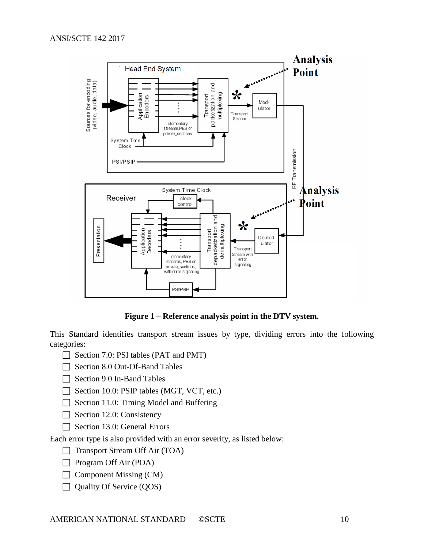

**Figure 1 – Reference analysis point in the DTV system.**

<span id="page-9-0"></span>This Standard identifies transport stream issues by type, dividing errors into the following categories:

- $\Box$  Section 7.0: PSI tables (PAT and PMT)
- $\Box$  Section 8.0 Out-Of-Band Tables
- $\Box$  Section 9.0 In-Band Tables
- $\Box$  Section 10.0: PSIP tables (MGT, VCT, etc.)
- $\Box$  Section 11.0: Timing Model and Buffering
- $\Box$  Section 12.0: Consistency
- Section 13.0: General Errors

Each error type is also provided with an error severity, as listed below:

- $\Box$  Transport Stream Off Air (TOA)
- $\Box$  Program Off Air (POA)
- $\Box$  Component Missing (CM)
- $\Box$  Quality Of Service (QOS)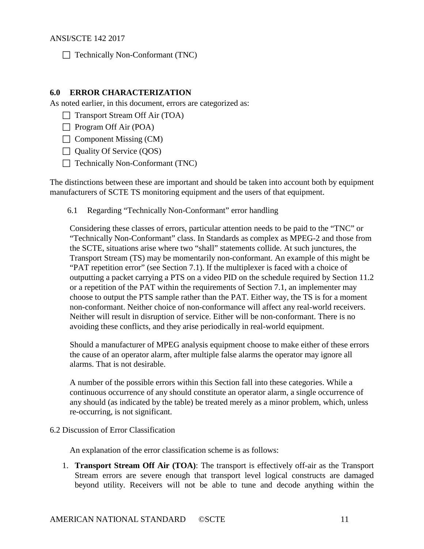$\Box$  Technically Non-Conformant (TNC)

### <span id="page-10-0"></span>**6.0 ERROR CHARACTERIZATION**

As noted earlier, in this document, errors are categorized as:

- $\Box$  Transport Stream Off Air (TOA)
- $\Box$  Program Off Air (POA)
- $\Box$  Component Missing (CM)
- $\Box$  Quality Of Service (QOS)
- $\Box$  Technically Non-Conformant (TNC)

The distinctions between these are important and should be taken into account both by equipment manufacturers of SCTE TS monitoring equipment and the users of that equipment.

6.1 Regarding "Technically Non-Conformant" error handling

Considering these classes of errors, particular attention needs to be paid to the "TNC" or "Technically Non-Conformant" class. In Standards as complex as MPEG-2 and those from the SCTE, situations arise where two "shall" statements collide. At such junctures, the Transport Stream (TS) may be momentarily non-conformant. An example of this might be "PAT repetition error" (see Section [7.1\)](#page-12-1). If the multiplexer is faced with a choice of outputting a packet carrying a PTS on a video PID on the schedule required by Section 11.2 or a repetition of the PAT within the requirements of Section [7.1,](#page-12-1) an implementer may choose to output the PTS sample rather than the PAT. Either way, the TS is for a moment non-conformant. Neither choice of non-conformance will affect any real-world receivers. Neither will result in disruption of service. Either will be non-conformant. There is no avoiding these conflicts, and they arise periodically in real-world equipment.

Should a manufacturer of MPEG analysis equipment choose to make either of these errors the cause of an operator alarm, after multiple false alarms the operator may ignore all alarms. That is not desirable.

A number of the possible errors within this Section fall into these categories. While a continuous occurrence of any should constitute an operator alarm, a single occurrence of any should (as indicated by the table) be treated merely as a minor problem, which, unless re-occurring, is not significant.

6.2 Discussion of Error Classification

An explanation of the error classification scheme is as follows:

1. **Transport Stream Off Air (TOA)**: The transport is effectively off-air as the Transport Stream errors are severe enough that transport level logical constructs are damaged beyond utility. Receivers will not be able to tune and decode anything within the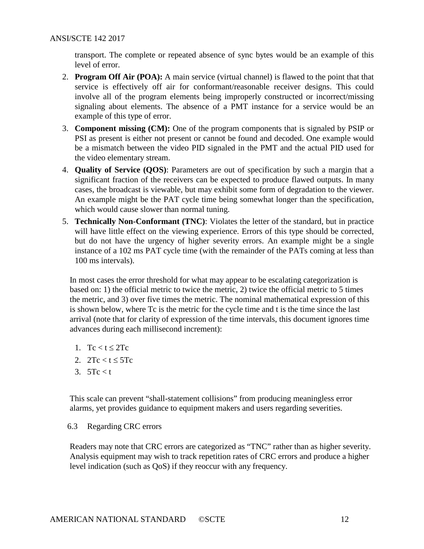transport. The complete or repeated absence of sync bytes would be an example of this level of error.

- 2. **Program Off Air (POA):** A main service (virtual channel) is flawed to the point that that service is effectively off air for conformant/reasonable receiver designs. This could involve all of the program elements being improperly constructed or incorrect/missing signaling about elements. The absence of a PMT instance for a service would be an example of this type of error.
- 3. **Component missing (CM):** One of the program components that is signaled by PSIP or PSI as present is either not present or cannot be found and decoded. One example would be a mismatch between the video PID signaled in the PMT and the actual PID used for the video elementary stream.
- 4. **Quality of Service (QOS)**: Parameters are out of specification by such a margin that a significant fraction of the receivers can be expected to produce flawed outputs. In many cases, the broadcast is viewable, but may exhibit some form of degradation to the viewer. An example might be the PAT cycle time being somewhat longer than the specification, which would cause slower than normal tuning.
- 5. **Technically Non-Conformant (TNC)**: Violates the letter of the standard, but in practice will have little effect on the viewing experience. Errors of this type should be corrected, but do not have the urgency of higher severity errors. An example might be a single instance of a 102 ms PAT cycle time (with the remainder of the PATs coming at less than 100 ms intervals).

In most cases the error threshold for what may appear to be escalating categorization is based on: 1) the official metric to twice the metric, 2) twice the official metric to 5 times the metric, and 3) over five times the metric. The nominal mathematical expression of this is shown below, where Tc is the metric for the cycle time and t is the time since the last arrival (note that for clarity of expression of the time intervals, this document ignores time advances during each millisecond increment):

- 1. Tc  $<$  t  $\leq$  2Tc
- 2.  $2Tc < t < 5Tc$
- 3.  $5Tc < t$

This scale can prevent "shall-statement collisions" from producing meaningless error alarms, yet provides guidance to equipment makers and users regarding severities.

<span id="page-11-0"></span>6.3 Regarding CRC errors

Readers may note that CRC errors are categorized as "TNC" rather than as higher severity. Analysis equipment may wish to track repetition rates of CRC errors and produce a higher level indication (such as QoS) if they reoccur with any frequency.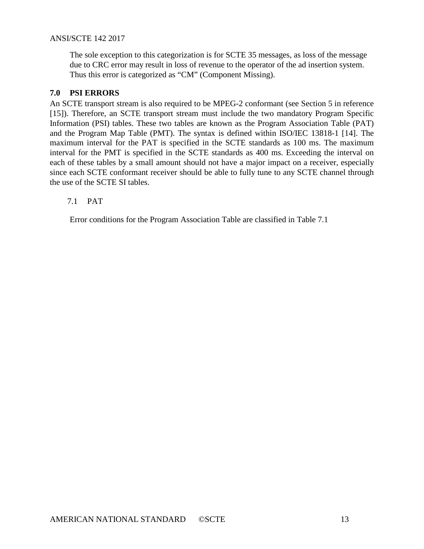The sole exception to this categorization is for SCTE 35 messages, as loss of the message due to CRC error may result in loss of revenue to the operator of the ad insertion system. Thus this error is categorized as "CM" (Component Missing).

# <span id="page-12-0"></span>**7.0 PSI ERRORS**

An SCTE transport stream is also required to be MPEG-2 conformant (see Section 5 in reference [15]). Therefore, an SCTE transport stream must include the two mandatory Program Specific Information (PSI) tables. These two tables are known as the Program Association Table (PAT) and the Program Map Table (PMT). The syntax is defined within ISO/IEC 13818-1 [14]. The maximum interval for the PAT is specified in the SCTE standards as 100 ms. The maximum interval for the PMT is specified in the SCTE standards as 400 ms. Exceeding the interval on each of these tables by a small amount should not have a major impact on a receiver, especially since each SCTE conformant receiver should be able to fully tune to any SCTE channel through the use of the SCTE SI tables.

# <span id="page-12-1"></span>7.1 PAT

Error conditions for the Program Association Table are classified in Table 7.1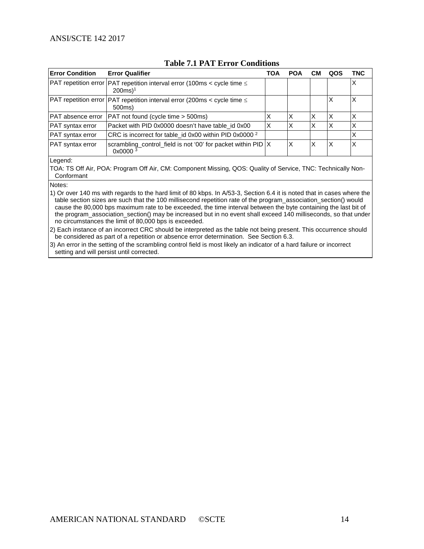| <b>Table 7.1 PAT Error Conditions</b> |  |
|---------------------------------------|--|
|---------------------------------------|--|

<span id="page-13-0"></span>

| <b>Error Condition</b>        | <b>Error Qualifier</b>                                                                                  | TOA | <b>POA</b> | <b>CM</b> | QOS | TNC |
|-------------------------------|---------------------------------------------------------------------------------------------------------|-----|------------|-----------|-----|-----|
|                               | PAT repetition error PAT repetition interval error (100ms < cycle time $\leq$<br>$200ms$ <sup>1</sup>   |     |            |           |     | Х   |
|                               | $\vert$ PAT repetition error $\vert$ PAT repetition interval error (200ms < cycle time $\leq$<br>500ms) |     |            |           | Χ   |     |
| <b>PAT</b> absence error      | PAT not found (cycle time > 500ms)                                                                      |     | Χ          | X         | х   |     |
| <b>PAT</b> syntax error       | Packet with PID 0x0000 doesn't have table id 0x00                                                       | X   | х          | Χ         | X   |     |
| <b>PAT</b> syntax error       | CRC is incorrect for table_id 0x00 within PID 0x0000 <sup>2</sup>                                       |     |            |           |     |     |
| PAT syntax error              | scrambling_control_field is not '00' for packet within PID  X<br>0x00003                                |     | X          | X         | X   |     |
| $\mathbf{r}$ and $\mathbf{r}$ |                                                                                                         |     |            |           |     |     |

Legend:

TOA: TS Off Air, POA: Program Off Air, CM: Component Missing, QOS: Quality of Service, TNC: Technically Non-Conformant

Notes:

1) Or over 140 ms with regards to the hard limit of 80 kbps. In A/53-3, Section 6.4 it is noted that in cases where the table section sizes are such that the 100 millisecond repetition rate of the program\_association\_section() would cause the 80,000 bps maximum rate to be exceeded, the time interval between the byte containing the last bit of the program\_association\_section() may be increased but in no event shall exceed 140 milliseconds, so that under no circumstances the limit of 80,000 bps is exceeded.

2) Each instance of an incorrect CRC should be interpreted as the table not being present. This occurrence should be considered as part of a repetition or absence error determination. See Section [6.3.](#page-11-0)

3) An error in the setting of the scrambling control field is most likely an indicator of a hard failure or incorrect setting and will persist until corrected.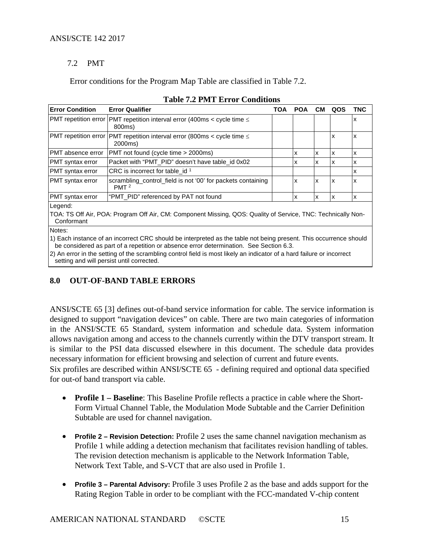# 7.2 PMT

Error conditions for the Program Map Table are classified in Table 7.2.

<span id="page-14-1"></span>

| <b>Error Condition</b> | <b>Error Qualifier</b>                                                                                                                                                                                       | <b>TOA</b> | <b>POA</b> | CМ | QOS | TNC |
|------------------------|--------------------------------------------------------------------------------------------------------------------------------------------------------------------------------------------------------------|------------|------------|----|-----|-----|
|                        | PMT repetition error   PMT repetition interval error (400ms < cycle time $\leq$<br>800ms)                                                                                                                    |            |            |    |     | x   |
|                        | PMT repetition error PMT repetition interval error (800ms < cycle time $\leq$<br>2000ms)                                                                                                                     |            |            |    | x   | x   |
| PMT absence error      | PMT not found (cycle time > 2000ms)                                                                                                                                                                          |            | x          | x  | X   | x   |
| PMT syntax error       | Packet with "PMT PID" doesn't have table id 0x02                                                                                                                                                             |            | x          | x  | x   | x   |
| PMT syntax error       | CRC is incorrect for table id $1$                                                                                                                                                                            |            |            |    |     | х   |
| PMT syntax error       | scrambling_control_field is not '00' for packets containing<br>PMT <sup>2</sup>                                                                                                                              |            | x          | x  | X   | х   |
| PMT syntax error       | "PMT PID" referenced by PAT not found                                                                                                                                                                        |            | x          | x  | X   | x   |
| Legend:<br>Conformant  | TOA: TS Off Air, POA: Program Off Air, CM: Component Missing, QOS: Quality of Service, TNC: Technically Non-                                                                                                 |            |            |    |     |     |
| Notes:                 |                                                                                                                                                                                                              |            |            |    |     |     |
|                        | 1) Each instance of an incorrect CRC should be interpreted as the table not being present. This occurrence should<br>he considered as nort of a repetition or observes arroy determination. Can Caetian C.3. |            |            |    |     |     |

be considered as part of a repetition or absence error determination. See Section [6.3.](#page-11-0) 2) An error in the setting of the scrambling control field is most likely an indicator of a hard failure or incorrect

<span id="page-14-0"></span>setting and will persist until corrected.

# **8.0 OUT-OF-BAND TABLE ERRORS**

ANSI/SCTE 65 [3] defines out-of-band service information for cable. The service information is designed to support "navigation devices" on cable. There are two main categories of information in the ANSI/SCTE 65 Standard, system information and schedule data. System information allows navigation among and access to the channels currently within the DTV transport stream. It is similar to the PSI data discussed elsewhere in this document. The schedule data provides necessary information for efficient browsing and selection of current and future events.

Six profiles are described within ANSI/SCTE 65 - defining required and optional data specified for out-of band transport via cable.

- **Profile 1 – Baseline**: This Baseline Profile reflects a practice in cable where the Short-Form Virtual Channel Table, the Modulation Mode Subtable and the Carrier Definition Subtable are used for channel navigation.
- **Profile 2 – Revision Detection:** Profile 2 uses the same channel navigation mechanism as Profile 1 while adding a detection mechanism that facilitates revision handling of tables. The revision detection mechanism is applicable to the Network Information Table, Network Text Table, and S-VCT that are also used in Profile 1.
- **Profile 3 – Parental Advisory:** Profile 3 uses Profile 2 as the base and adds support for the Rating Region Table in order to be compliant with the FCC-mandated V-chip content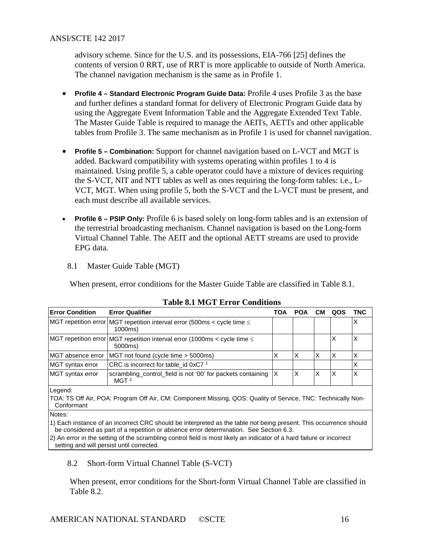advisory scheme. Since for the U.S. and its possessions, EIA-766 [25] defines the contents of version 0 RRT, use of RRT is more applicable to outside of North America. The channel navigation mechanism is the same as in Profile 1.

- **Profile 4 Standard Electronic Program Guide Data:** Profile 4 uses Profile 3 as the base and further defines a standard format for delivery of Electronic Program Guide data by using the Aggregate Event Information Table and the Aggregate Extended Text Table. The Master Guide Table is required to manage the AEITs, AETTs and other applicable tables from Profile 3. The same mechanism as in Profile 1 is used for channel navigation.
- **Profile 5 – Combination:** Support for channel navigation based on L-VCT and MGT is added. Backward compatibility with systems operating within profiles 1 to 4 is maintained. Using profile 5, a cable operator could have a mixture of devices requiring the S-VCT, NIT and NTT tables as well as ones requiring the long-form tables: i.e., L-VCT, MGT. When using profile 5, both the S-VCT and the L-VCT must be present, and each must describe all available services.
- **Profile 6 PSIP Only:** Profile 6 is based solely on long-form tables and is an extension of the terrestrial broadcasting mechanism. Channel navigation is based on the Long-form Virtual Channel Table. The AEIT and the optional AETT streams are used to provide EPG data.
- 8.1 Master Guide Table (MGT)

When present, error conditions for the Master Guide Table are classified in Table 8.1.

<span id="page-15-0"></span>

| <b>Error Condition</b> | <b>Error Qualifier</b>                                                                                       | TOA | <b>POA</b> | <b>CM</b> | QOS | <b>TNC</b> |
|------------------------|--------------------------------------------------------------------------------------------------------------|-----|------------|-----------|-----|------------|
|                        | MGT repetition error MGT repetition interval error (500ms < cycle time $\leq$<br>1000ms)                     |     |            |           |     | x          |
|                        | MGT repetition error MGT repetition interval error (1000ms < cycle time $\leq$<br>5000ms)                    |     |            |           | X   | X          |
| MGT absence error      | MGT not found (cycle time > 5000ms)                                                                          | X   | X          | X         | X   | Χ          |
| MGT syntax error       | CRC is incorrect for table_id 0xC7 <sup>1</sup>                                                              |     |            |           |     | Χ          |
| MGT syntax error       | scrambling_control_field is not '00' for packets containing<br>MGT <sup>2</sup>                              |     | X          | X         | X   | Χ          |
| Legend:                |                                                                                                              |     |            |           |     |            |
| Conformant             | TOA: TS Off Air, POA: Program Off Air, CM: Component Missing, QOS: Quality of Service, TNC: Technically Non- |     |            |           |     |            |
| Notes:                 |                                                                                                              |     |            |           |     |            |

|  | <b>Table 8.1 MGT Error Conditions</b> |  |
|--|---------------------------------------|--|
|--|---------------------------------------|--|

Notes:

1) Each instance of an incorrect CRC should be interpreted as the table not being present. This occurrence should be considered as part of a repetition or absence error determination. See Section [6.3.](#page-11-0)

2) An error in the setting of the scrambling control field is most likely an indicator of a hard failure or incorrect setting and will persist until corrected.

8.2 Short-form Virtual Channel Table (S-VCT)

When present, error conditions for the Short-form Virtual Channel Table are classified in Table 8.2.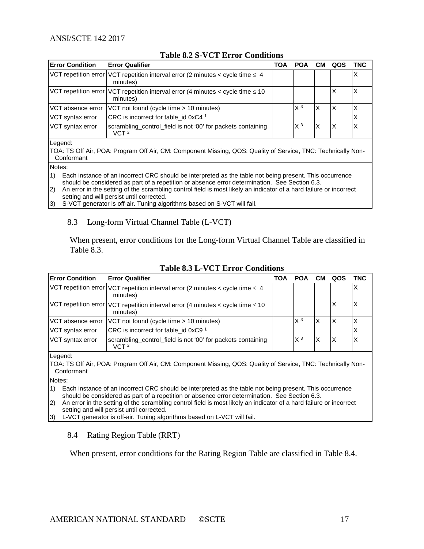<span id="page-16-0"></span>

| <b>Error Condition</b> | <b>Error Qualifier</b>                                                                           | TOA | <b>POA</b>     | CМ | QOS | TNC |
|------------------------|--------------------------------------------------------------------------------------------------|-----|----------------|----|-----|-----|
|                        | VCT repetition error VCT repetition interval error (2 minutes < cycle time $\leq 4$<br>minutes)  |     |                |    |     |     |
|                        | VCT repetition error VCT repetition interval error (4 minutes < cycle time $\leq 10$<br>minutes) |     |                |    | х   |     |
| VCT absence error      | VCT not found (cycle time > 10 minutes)                                                          |     | X <sup>3</sup> | X  | X   |     |
| VCT syntax error       | CRC is incorrect for table id $0xC4$ <sup>1</sup>                                                |     |                |    |     |     |
| VCT syntax error       | scrambling_control_field is not '00' for packets containing<br>VCT <sup>2</sup>                  |     | $X^3$          | X  | X   |     |
| Legend:                |                                                                                                  |     |                |    |     |     |

# **Table 8.2 S-VCT Error Conditions**

TOA: TS Off Air, POA: Program Off Air, CM: Component Missing, QOS: Quality of Service, TNC: Technically Non-Conformant

Notes:

1) Each instance of an incorrect CRC should be interpreted as the table not being present. This occurrence should be considered as part of a repetition or absence error determination. See Section [6.3.](#page-11-0)

2) An error in the setting of the scrambling control field is most likely an indicator of a hard failure or incorrect setting and will persist until corrected.

3) S-VCT generator is off-air. Tuning algorithms based on S-VCT will fail.

#### 8.3 Long-form Virtual Channel Table (L-VCT)

When present, error conditions for the Long-form Virtual Channel Table are classified in Table 8.3.

<span id="page-16-1"></span>

| <b>Error Condition</b> | <b>Error Qualifier</b>                                                                                       | TOA | <b>POA</b> | CМ | QOS | TNC |
|------------------------|--------------------------------------------------------------------------------------------------------------|-----|------------|----|-----|-----|
|                        | VCT repetition error VCT repetition interval error (2 minutes < cycle time $\leq 4$<br>minutes)              |     |            |    |     | х   |
|                        | VCT repetition error VCT repetition interval error (4 minutes < cycle time $\leq 10$<br>minutes)             |     |            |    | X   |     |
| VCT absence error      | VCT not found (cycle time > 10 minutes)                                                                      |     | $X^3$      | X  | X   |     |
| VCT syntax error       | CRC is incorrect for table id 0xC9 <sup>1</sup>                                                              |     |            |    |     |     |
| VCT syntax error       | scrambling_control_field is not '00' for packets containing<br>VCT <sup>2</sup>                              |     | $X^3$      | X  | Χ   |     |
| Legend:                |                                                                                                              |     |            |    |     |     |
| Conformant             | TOA: TS Off Air, POA: Program Off Air, CM: Component Missing, QOS: Quality of Service, TNC: Technically Non- |     |            |    |     |     |
| $\mathbf{r}$           |                                                                                                              |     |            |    |     |     |

#### **Table 8.3 L-VCT Error Conditions**

Notes:

1) Each instance of an incorrect CRC should be interpreted as the table not being present. This occurrence should be considered as part of a repetition or absence error determination. See Section [6.3.](#page-11-0)

2) An error in the setting of the scrambling control field is most likely an indicator of a hard failure or incorrect setting and will persist until corrected.

3) L-VCT generator is off-air. Tuning algorithms based on L-VCT will fail.

#### 8.4 Rating Region Table (RRT)

When present, error conditions for the Rating Region Table are classified in Table 8.4.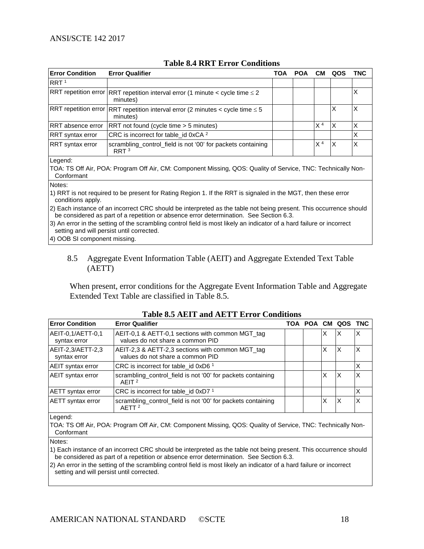<span id="page-17-0"></span>

|                        | TAMA VIT ININ LIITUL VAMARILIVIIN                                                               |     |            |                |     |     |  |
|------------------------|-------------------------------------------------------------------------------------------------|-----|------------|----------------|-----|-----|--|
| <b>Error Condition</b> | <b>Error Qualifier</b>                                                                          | TOA | <b>POA</b> | CМ             | QOS | TNC |  |
| RRT <sup>1</sup>       |                                                                                                 |     |            |                |     |     |  |
|                        | RRT repetition error RRT repetition interval error (1 minute < cycle time $\leq$ 2<br>minutes)  |     |            |                |     |     |  |
|                        | RRT repetition error RRT repetition interval error (2 minutes < cycle time $\leq 5$<br>minutes) |     |            |                | X   |     |  |
| RRT absence error      | RRT not found (cycle time > 5 minutes)                                                          |     |            | X <sup>4</sup> | Х   | х   |  |
| RRT syntax error       | CRC is incorrect for table_id 0xCA <sup>2</sup>                                                 |     |            |                |     |     |  |
| RRT syntax error       | scrambling_control_field is not '00' for packets containing<br>RRT <sup>3</sup>                 |     |            | X <sup>4</sup> | X   |     |  |
| egand.                 |                                                                                                 |     |            |                |     |     |  |

#### **Table 8.4 RRT Error Conditions**

Legend:

TOA: TS Off Air, POA: Program Off Air, CM: Component Missing, QOS: Quality of Service, TNC: Technically Non-Conformant

Notes:

1) RRT is not required to be present for Rating Region 1. If the RRT is signaled in the MGT, then these error conditions apply.

2) Each instance of an incorrect CRC should be interpreted as the table not being present. This occurrence should be considered as part of a repetition or absence error determination. See Section 6.3.

3) An error in the setting of the scrambling control field is most likely an indicator of a hard failure or incorrect setting and will persist until corrected.

4) OOB SI component missing.

#### 8.5 Aggregate Event Information Table (AEIT) and Aggregate Extended Text Table (AETT)

When present, error conditions for the Aggregate Event Information Table and Aggregate Extended Text Table are classified in Table 8.5.

<span id="page-17-1"></span>

| <b>Error Condition</b>                                                                                          | <b>Error Qualifier</b>                                                               |  |   | TOA POA CM QOS TNC |   |
|-----------------------------------------------------------------------------------------------------------------|--------------------------------------------------------------------------------------|--|---|--------------------|---|
| AEIT-0,1/AETT-0,1<br>syntax error                                                                               | AEIT-0,1 & AETT-0,1 sections with common MGT_tag<br>values do not share a common PID |  | х |                    | х |
| AEIT-2,3/AETT-2,3<br>syntax error                                                                               | AEIT-2,3 & AETT-2,3 sections with common MGT_tag<br>values do not share a common PID |  | X | х                  | X |
| <b>AEIT</b> syntax error                                                                                        | CRC is incorrect for table id $0xD61$                                                |  |   |                    | X |
| scrambling_control_field is not '00' for packets containing<br><b>AEIT</b> syntax error<br>$A$ FIT <sup>2</sup> |                                                                                      |  | Χ |                    | х |
| <b>AETT</b> syntax error                                                                                        | CRC is incorrect for table id $0xD71$                                                |  |   |                    | X |
| <b>AETT</b> syntax error                                                                                        | scrambling_control_field is not '00' for packets containing<br>AETT <sup>2</sup>     |  | Χ |                    | Χ |

# **Table 8.5 AEIT and AETT Error Conditions**

Legend:

TOA: TS Off Air, POA: Program Off Air, CM: Component Missing, QOS: Quality of Service, TNC: Technically Non-Conformant

Notes:

1) Each instance of an incorrect CRC should be interpreted as the table not being present. This occurrence should be considered as part of a repetition or absence error determination. See Section [6.3.](#page-11-0)

2) An error in the setting of the scrambling control field is most likely an indicator of a hard failure or incorrect setting and will persist until corrected.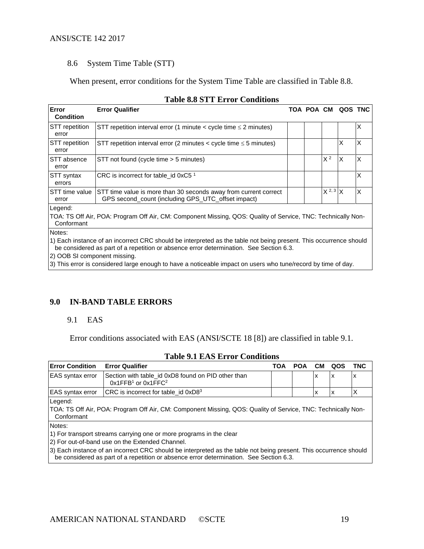#### 8.6 System Time Table (STT)

When present, error conditions for the System Time Table are classified in Table 8.8.

<span id="page-18-1"></span>

| Error<br><b>Condition</b>      | <b>Error Qualifier</b>                                                                                                 |  |  |                | TOA POA CM QOS TNC |   |  |  |  |
|--------------------------------|------------------------------------------------------------------------------------------------------------------------|--|--|----------------|--------------------|---|--|--|--|
| <b>STT</b> repetition<br>error | STT repetition interval error (1 minute $\lt$ cycle time $\leq$ 2 minutes)                                             |  |  |                |                    | X |  |  |  |
| <b>STT</b> repetition<br>error | STT repetition interval error (2 minutes < cycle time $\leq$ 5 minutes)                                                |  |  |                | X                  | X |  |  |  |
| <b>STT</b> absence<br>error    | STT not found (cycle time > 5 minutes)                                                                                 |  |  | X <sup>2</sup> | X                  | X |  |  |  |
| <b>STT syntax</b><br>errors    | CRC is incorrect for table id $0xC5$ <sup>1</sup>                                                                      |  |  |                |                    | X |  |  |  |
| <b>STT</b> time value<br>error | STT time value is more than 30 seconds away from current correct<br>GPS second_count (including GPS_UTC_offset impact) |  |  | $X^{2,3}$ X    |                    | X |  |  |  |
| Legend:                        |                                                                                                                        |  |  |                |                    |   |  |  |  |
| Conformant                     | TOA: TS Off Air, POA: Program Off Air, CM: Component Missing, QOS: Quality of Service, TNC: Technically Non-           |  |  |                |                    |   |  |  |  |
| Notes:                         |                                                                                                                        |  |  |                |                    |   |  |  |  |
|                                | 1) Each instance of an incorrect CRC should be interpreted as the table not being present. This occurrence should      |  |  |                |                    |   |  |  |  |

### **Table 8.8 STT Error Conditions**

be considered as part of a repetition or absence error determination. See Section [6.3.](#page-11-0)

2) OOB SI component missing.

3) This error is considered large enough to have a noticeable impact on users who tune/record by time of day.

#### <span id="page-18-0"></span>**9.0 IN-BAND TABLE ERRORS**

#### 9.1 EAS

Error conditions associated with EAS (ANSI/SCTE 18 [8]) are classified in table 9.1.

#### **Table 9.1 EAS Error Conditions**

<span id="page-18-2"></span>

| Error Condition                                                                                              | <b>Error Qualifier</b>                                                                                       | TOA | <b>POA</b> | CМ | QOS | TNC |  |  |  |
|--------------------------------------------------------------------------------------------------------------|--------------------------------------------------------------------------------------------------------------|-----|------------|----|-----|-----|--|--|--|
| <b>EAS</b> syntax error<br>Section with table id 0xD8 found on PID other than<br>х<br>$0x1FFB1$ or $0x1FFC2$ |                                                                                                              |     |            |    | х   | х   |  |  |  |
| <b>EAS</b> syntax error                                                                                      | CRC is incorrect for table_id 0xD83                                                                          |     |            | х  | х   |     |  |  |  |
| Legend:<br>Conformant                                                                                        | TOA: TS Off Air, POA: Program Off Air, CM: Component Missing, QOS: Quality of Service, TNC: Technically Non- |     |            |    |     |     |  |  |  |
| Notes:                                                                                                       |                                                                                                              |     |            |    |     |     |  |  |  |
| 1) For transport streams carrying one or more programs in the clear                                          |                                                                                                              |     |            |    |     |     |  |  |  |

2) For out-of-band use on the Extended Channel.

3) Each instance of an incorrect CRC should be interpreted as the table not being present. This occurrence should be considered as part of a repetition or absence error determination. See Section [6.3.](#page-11-0)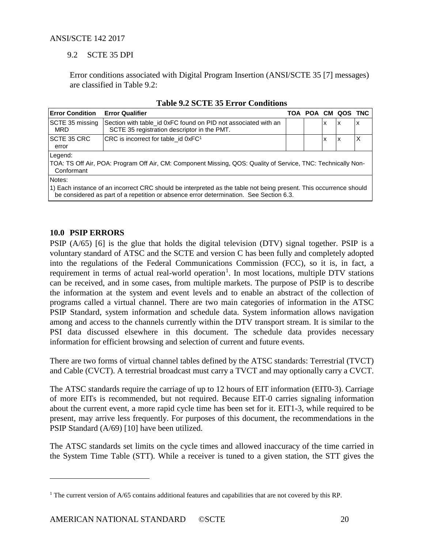# 9.2 SCTE 35 DPI

Error conditions associated with Digital Program Insertion (ANSI/SCTE 35 [7] messages) are classified in Table 9.2:

<span id="page-19-1"></span>

| <b>Error Condition</b>                                                                                                                                                                                       | <b>Error Qualifier</b>                                                                                       |  |   |   | TOA POA CM QOS TNC |   |  |
|--------------------------------------------------------------------------------------------------------------------------------------------------------------------------------------------------------------|--------------------------------------------------------------------------------------------------------------|--|---|---|--------------------|---|--|
| SCTE 35 missing<br>MRD                                                                                                                                                                                       |                                                                                                              |  | x | x | x                  |   |  |
| <b>SCTE 35 CRC</b>                                                                                                                                                                                           | CRC is incorrect for table id $0xFC1$                                                                        |  |   | X | x                  | х |  |
| error                                                                                                                                                                                                        |                                                                                                              |  |   |   |                    |   |  |
| Legend:                                                                                                                                                                                                      |                                                                                                              |  |   |   |                    |   |  |
| Conformant                                                                                                                                                                                                   | TOA: TS Off Air, POA: Program Off Air, CM: Component Missing, QOS: Quality of Service, TNC: Technically Non- |  |   |   |                    |   |  |
| Notes:                                                                                                                                                                                                       |                                                                                                              |  |   |   |                    |   |  |
| [1) Each instance of an incorrect CRC should be interpreted as the table not being present. This occurrence should<br>be considered as part of a repetition or absence error determination. See Section 6.3. |                                                                                                              |  |   |   |                    |   |  |

|  | <b>Table 9.2 SCTE 35 Error Conditions</b> |
|--|-------------------------------------------|
|--|-------------------------------------------|

# <span id="page-19-0"></span>**10.0 PSIP ERRORS**

 $\overline{a}$ 

PSIP (A/65) [6] is the glue that holds the digital television (DTV) signal together. PSIP is a voluntary standard of ATSC and the SCTE and version C has been fully and completely adopted into the regulations of the Federal Communications Commission (FCC), so it is, in fact, a requirement in terms of actual real-world operation<sup>[1](#page-19-2)</sup>. In most locations, multiple DTV stations can be received, and in some cases, from multiple markets. The purpose of PSIP is to describe the information at the system and event levels and to enable an abstract of the collection of programs called a virtual channel. There are two main categories of information in the ATSC PSIP Standard, system information and schedule data. System information allows navigation among and access to the channels currently within the DTV transport stream. It is similar to the PSI data discussed elsewhere in this document. The schedule data provides necessary information for efficient browsing and selection of current and future events.

There are two forms of virtual channel tables defined by the ATSC standards: Terrestrial (TVCT) and Cable (CVCT). A terrestrial broadcast must carry a TVCT and may optionally carry a CVCT.

The ATSC standards require the carriage of up to 12 hours of EIT information (EIT0-3). Carriage of more EITs is recommended, but not required. Because EIT-0 carries signaling information about the current event, a more rapid cycle time has been set for it. EIT1-3, while required to be present, may arrive less frequently. For purposes of this document, the recommendations in the PSIP Standard (A/69) [10] have been utilized.

The ATSC standards set limits on the cycle times and allowed inaccuracy of the time carried in the System Time Table (STT). While a receiver is tuned to a given station, the STT gives the

<span id="page-19-2"></span><sup>&</sup>lt;sup>1</sup> The current version of A/65 contains additional features and capabilities that are not covered by this RP.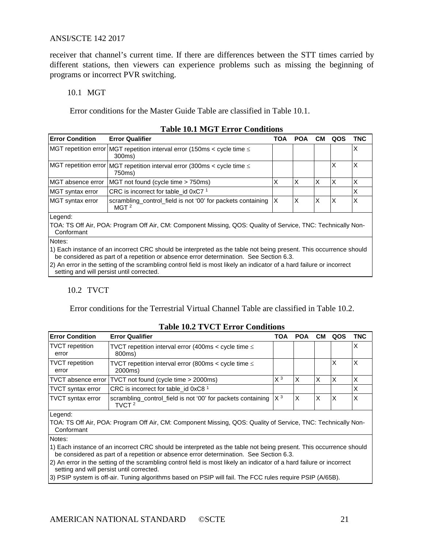receiver that channel's current time. If there are differences between the STT times carried by different stations, then viewers can experience problems such as missing the beginning of programs or incorrect PVR switching.

#### 10.1 MGT

Error conditions for the Master Guide Table are classified in Table 10.1.

<span id="page-20-0"></span>

| <b>Error Condition</b>                                                                              | <b>Error Qualifier</b>                                                                  | TOA | <b>POA</b> | CМ | QOS | TNC |
|-----------------------------------------------------------------------------------------------------|-----------------------------------------------------------------------------------------|-----|------------|----|-----|-----|
|                                                                                                     | MGT repetition error MGT repetition interval error (150ms < cycle time $\leq$<br>300ms) |     |            |    |     | ⋏   |
| MGT repetition error MGT repetition interval error (300ms < cycle time $\leq$<br>750ms)             |                                                                                         |     |            |    | Х   | Х   |
| MGT absence error                                                                                   | MGT not found (cycle time > 750ms)                                                      | х   |            | Χ  | X   |     |
| MGT syntax error                                                                                    | CRC is incorrect for table id 0xC7 $^1$                                                 |     |            |    |     | X   |
| MGT syntax error<br>scrambling_control_field is not '00' for packets containing<br>MGT <sup>2</sup> |                                                                                         | X   |            | Χ  | x   | Х   |
| $I$ coopd:                                                                                          |                                                                                         |     |            |    |     |     |

#### **Table 10.1 MGT Error Conditions**

Legend:

TOA: TS Off Air, POA: Program Off Air, CM: Component Missing, QOS: Quality of Service, TNC: Technically Non-Conformant

Notes:

1) Each instance of an incorrect CRC should be interpreted as the table not being present. This occurrence should be considered as part of a repetition or absence error determination. See Section [6.3.](#page-11-0)

2) An error in the setting of the scrambling control field is most likely an indicator of a hard failure or incorrect setting and will persist until corrected.

# 10.2 TVCT

Error conditions for the Terrestrial Virtual Channel Table are classified in Table 10.2.

<span id="page-20-1"></span>

| <b>Error Condition</b>                                                                                               | <b>Error Qualifier</b>                          | TOA   | <b>POA</b> | <b>CM</b> | QOS | TNC |
|----------------------------------------------------------------------------------------------------------------------|-------------------------------------------------|-------|------------|-----------|-----|-----|
| <b>TVCT</b> repetition<br>TVCT repetition interval error (400ms $\lt$ cycle time $\le$<br>800ms)<br>error            |                                                 |       |            |           |     |     |
| <b>TVCT</b> repetition<br>TVCT repetition interval error (800ms $\lt$ cycle time $\le$<br>2000ms)<br>error           |                                                 |       |            |           | х   |     |
| TVCT absence error                                                                                                   | TVCT not found (cycle time > 2000ms)            | $X^3$ | Χ          | х         | х   |     |
| <b>TVCT</b> syntax error                                                                                             | CRC is incorrect for table_id 0xC8 <sup>1</sup> |       |            |           |     |     |
| scrambling_control_field is not '00' for packets containing $ X^3 $<br><b>TVCT</b> syntax error<br>TVCT <sup>2</sup> |                                                 |       | х          | X         | х   |     |
| $l$ cased.                                                                                                           |                                                 |       |            |           |     |     |

#### **Table 10.2 TVCT Error Conditions**

Legend:

TOA: TS Off Air, POA: Program Off Air, CM: Component Missing, QOS: Quality of Service, TNC: Technically Non-Conformant

Notes:

1) Each instance of an incorrect CRC should be interpreted as the table not being present. This occurrence should be considered as part of a repetition or absence error determination. See Section [6.3.](#page-11-0)

2) An error in the setting of the scrambling control field is most likely an indicator of a hard failure or incorrect setting and will persist until corrected.

3) PSIP system is off-air. Tuning algorithms based on PSIP will fail. The FCC rules require PSIP (A/65B).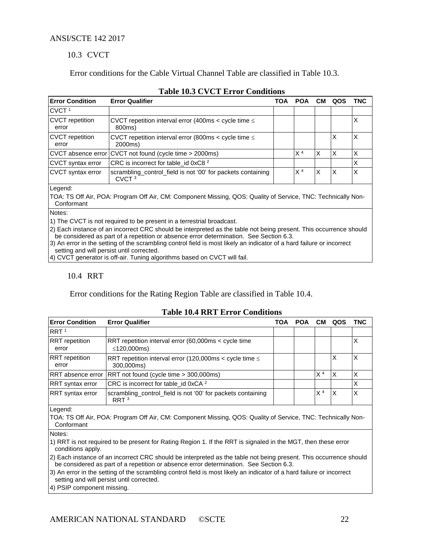#### 10.3 CVCT

Error conditions for the Cable Virtual Channel Table are classified in Table 10.3.

<span id="page-21-0"></span>

| <b>Error Condition</b>                                                                                | <b>Error Qualifier</b>                                                                                       |  | <b>POA</b>     | CМ | QOS | TNC |
|-------------------------------------------------------------------------------------------------------|--------------------------------------------------------------------------------------------------------------|--|----------------|----|-----|-----|
| CVCT <sup>1</sup>                                                                                     |                                                                                                              |  |                |    |     |     |
| <b>CVCT</b> repetition<br>error                                                                       | CVCT repetition interval error (400ms < cycle time $\leq$<br>800ms)                                          |  |                |    |     | X   |
| CVCT repetition<br>error                                                                              | CVCT repetition interval error (800ms < cycle time $\leq$<br>2000ms)                                         |  |                |    | х   | X   |
|                                                                                                       | CVCT absence error CVCT not found (cycle time > 2000ms)                                                      |  | X <sup>4</sup> | X  | X   | Χ   |
| CVCT syntax error                                                                                     | CRC is incorrect for table_id 0xC8 <sup>2</sup>                                                              |  |                |    |     | Χ   |
| CVCT syntax error<br>scrambling_control_field is not '00' for packets containing<br>CVCT <sup>3</sup> |                                                                                                              |  | X <sup>4</sup> | X  | X   | X   |
| Legend:                                                                                               | TOA: TS Off Air, POA: Program Off Air, CM: Component Missing, OOS: Quality of Service, TNC: Technically Non- |  |                |    |     |     |

#### **Table 10.3 CVCT Error Conditions**

TOA: TS Off Air, POA: Program Off Air, CM: Component Missing, QOS: Quality of Service, TNC: Technically Non-Conformant

Notes:

1) The CVCT is not required to be present in a terrestrial broadcast.

2) Each instance of an incorrect CRC should be interpreted as the table not being present. This occurrence should be considered as part of a repetition or absence error determination. See Section [6.3.](#page-11-0)

| 3) An error in the setting of the scrambling control field is most likely an indicator of a hard failure or incorrect |  |  |  |
|-----------------------------------------------------------------------------------------------------------------------|--|--|--|
| setting and will persist until corrected.                                                                             |  |  |  |

4) CVCT generator is off-air. Tuning algorithms based on CVCT will fail.

#### 10.4 RRT

Error conditions for the Rating Region Table are classified in Table 10.4.

#### <span id="page-21-1"></span>**Error Condition Error Qualifier TOA POA CM QOS TNC** RRT 1 RRT repetition error RRT repetition interval error (60,000ms < cycle time ≤120,000ms) X RRT repetition error RRT repetition interval error (120,000ms < cycle time ≤ 300,000ms)  $x \quad |x|$ RRT absence error RRT not found (cycle time > 300,000ms)  $\overline{X^4 \mid X \mid X}$ RRT syntax error  $\left\vert \text{CRC is incorrect for table\_id 0xCA }^{2} \right\vert \qquad \left\vert \qquad \right\vert \qquad \left\vert \text{X} \right\vert$ RRT syntax error  $\vert$  scrambling\_control\_field is not '00' for packets containing RRT <sup>3</sup>  $X^4$   $X$   $X$

#### **Table 10.4 RRT Error Conditions**

Legend:

TOA: TS Off Air, POA: Program Off Air, CM: Component Missing, QOS: Quality of Service, TNC: Technically Non-Conformant

Notes:

1) RRT is not required to be present for Rating Region 1. If the RRT is signaled in the MGT, then these error conditions apply.

2) Each instance of an incorrect CRC should be interpreted as the table not being present. This occurrence should be considered as part of a repetition or absence error determination. See Section [6.3.](#page-11-0)

3) An error in the setting of the scrambling control field is most likely an indicator of a hard failure or incorrect setting and will persist until corrected.

4) PSIP component missing.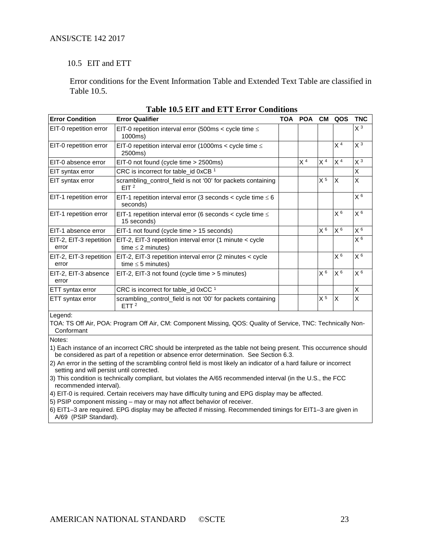#### 10.5 EIT and ETT

Error conditions for the Event Information Table and Extended Text Table are classified in Table 10.5.

<span id="page-22-0"></span>

| <b>Error Condition</b>           | <b>Error Qualifier</b>                                                              | TOA | <b>POA</b>     | <b>CM</b>      | QOS            | <b>TNC</b>     |  |  |  |
|----------------------------------|-------------------------------------------------------------------------------------|-----|----------------|----------------|----------------|----------------|--|--|--|
| EIT-0 repetition error           | EIT-0 repetition interval error (500ms < cycle time $\leq$<br>1000ms)               |     |                |                |                | $X^3$          |  |  |  |
| EIT-0 repetition error           | EIT-0 repetition interval error (1000ms < cycle time $\leq$<br>2500ms)              |     |                |                | X <sup>4</sup> | X <sup>3</sup> |  |  |  |
| EIT-0 absence error              | EIT-0 not found (cycle time > 2500ms)                                               |     | X <sup>4</sup> | X <sup>4</sup> | X <sup>4</sup> | X <sup>3</sup> |  |  |  |
| EIT syntax error                 | CRC is incorrect for table_id 0xCB <sup>1</sup>                                     |     |                |                |                | X              |  |  |  |
| EIT syntax error                 | scrambling_control_field is not '00' for packets containing<br>EIT <sup>2</sup>     |     |                | X 5            | X              | X              |  |  |  |
| EIT-1 repetition error           | EIT-1 repetition interval error (3 seconds < cycle time $\leq 6$<br>seconds)        |     |                |                |                | X <sup>6</sup> |  |  |  |
| EIT-1 repetition error           | EIT-1 repetition interval error (6 seconds < cycle time $\leq$<br>15 seconds)       |     |                |                | X <sup>6</sup> | X <sup>6</sup> |  |  |  |
| EIT-1 absence error              | EIT-1 not found (cycle time > 15 seconds)                                           |     |                | X <sup>6</sup> | X <sup>6</sup> | X <sup>6</sup> |  |  |  |
| EIT-2, EIT-3 repetition<br>error | EIT-2, EIT-3 repetition interval error (1 minute < cycle<br>time $\leq$ 2 minutes)  |     |                |                |                | X <sup>6</sup> |  |  |  |
| EIT-2, EIT-3 repetition<br>error | EIT-2, EIT-3 repetition interval error (2 minutes < cycle<br>time $\leq$ 5 minutes) |     |                |                | X <sup>6</sup> | X <sup>6</sup> |  |  |  |
| EIT-2, EIT-3 absence<br>error    | EIT-2, EIT-3 not found (cycle time > 5 minutes)                                     |     |                | X <sup>6</sup> | X <sup>6</sup> | X <sup>6</sup> |  |  |  |
| ETT syntax error                 | CRC is incorrect for table_id $0 \times CC^{-1}$                                    |     |                |                |                | X              |  |  |  |
| ETT syntax error                 | scrambling_control_field is not '00' for packets containing<br>ETT <sup>2</sup>     |     |                | X <sup>5</sup> | X              | X              |  |  |  |

| <b>Table 10.5 EIT and ETT Error Conditions</b> |  |  |
|------------------------------------------------|--|--|
|------------------------------------------------|--|--|

Legend:

TOA: TS Off Air, POA: Program Off Air, CM: Component Missing, QOS: Quality of Service, TNC: Technically Non-Conformant

Notes:

1) Each instance of an incorrect CRC should be interpreted as the table not being present. This occurrence should be considered as part of a repetition or absence error determination. See Section [6.3.](#page-11-0)

2) An error in the setting of the scrambling control field is most likely an indicator of a hard failure or incorrect setting and will persist until corrected.

3) This condition is technically compliant, but violates the A/65 recommended interval (in the U.S., the FCC recommended interval).

4) EIT-0 is required. Certain receivers may have difficulty tuning and EPG display may be affected.

5) PSIP component missing – may or may not affect behavior of receiver.

6) EIT1–3 are required. EPG display may be affected if missing. Recommended timings for EIT1–3 are given in A/69 (PSIP Standard).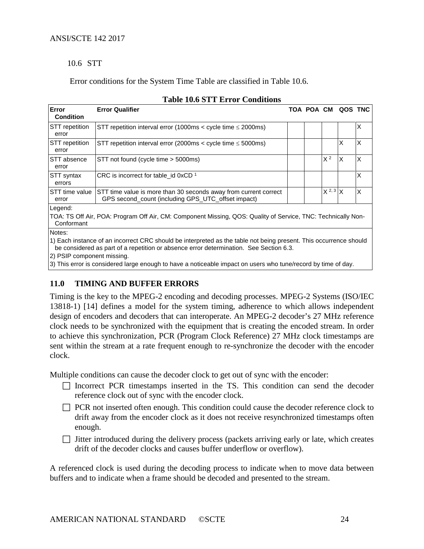#### 10.6 STT

Error conditions for the System Time Table are classified in Table 10.6.

<span id="page-23-1"></span>

| <b>Error</b><br><b>Condition</b> | <b>Error Qualifier</b>                                                                                                                                                                                      |  |  |                | TOA POA CM QOS TNC |   |  |  |  |
|----------------------------------|-------------------------------------------------------------------------------------------------------------------------------------------------------------------------------------------------------------|--|--|----------------|--------------------|---|--|--|--|
| <b>STT</b> repetition<br>error   | STT repetition interval error (1000ms < cycle time $\leq$ 2000ms)                                                                                                                                           |  |  |                |                    | X |  |  |  |
| <b>STT</b> repetition<br>error   | STT repetition interval error (2000ms < cycle time $\leq$ 5000ms)                                                                                                                                           |  |  |                | X                  | X |  |  |  |
| STT absence<br>error             | STT not found (cycle time > 5000ms)                                                                                                                                                                         |  |  | X <sup>2</sup> | X                  | X |  |  |  |
| STT syntax<br>errors             | CRC is incorrect for table id $0xCD$ <sup>1</sup>                                                                                                                                                           |  |  |                |                    | X |  |  |  |
| STT time value<br>error          | STT time value is more than 30 seconds away from current correct<br>GPS second count (including GPS UTC offset impact)                                                                                      |  |  | $X^{2,3}$ X    |                    | X |  |  |  |
| Legend:<br>Conformant            | TOA: TS Off Air, POA: Program Off Air, CM: Component Missing, QOS: Quality of Service, TNC: Technically Non-                                                                                                |  |  |                |                    |   |  |  |  |
| Notes:                           | 1) Each instance of an incorrect CRC should be interpreted as the table not being present. This occurrence should<br>be considered as part of a repetition or absence error determination. See Section 6.3. |  |  |                |                    |   |  |  |  |

# **Table 10.6 STT Error Conditions**

2) PSIP component missing.

3) This error is considered large enough to have a noticeable impact on users who tune/record by time of day.

# <span id="page-23-0"></span>**11.0 TIMING AND BUFFER ERRORS**

Timing is the key to the MPEG-2 encoding and decoding processes. MPEG-2 Systems (ISO/IEC 13818-1) [14] defines a model for the system timing, adherence to which allows independent design of encoders and decoders that can interoperate. An MPEG-2 decoder's 27 MHz reference clock needs to be synchronized with the equipment that is creating the encoded stream. In order to achieve this synchronization, PCR (Program Clock Reference) 27 MHz clock timestamps are sent within the stream at a rate frequent enough to re-synchronize the decoder with the encoder clock.

Multiple conditions can cause the decoder clock to get out of sync with the encoder:

- $\Box$  Incorrect PCR timestamps inserted in the TS. This condition can send the decoder reference clock out of sync with the encoder clock.
- **PCR** not inserted often enough. This condition could cause the decoder reference clock to drift away from the encoder clock as it does not receive resynchronized timestamps often enough.
- $\Box$  Jitter introduced during the delivery process (packets arriving early or late, which creates drift of the decoder clocks and causes buffer underflow or overflow).

A referenced clock is used during the decoding process to indicate when to move data between buffers and to indicate when a frame should be decoded and presented to the stream.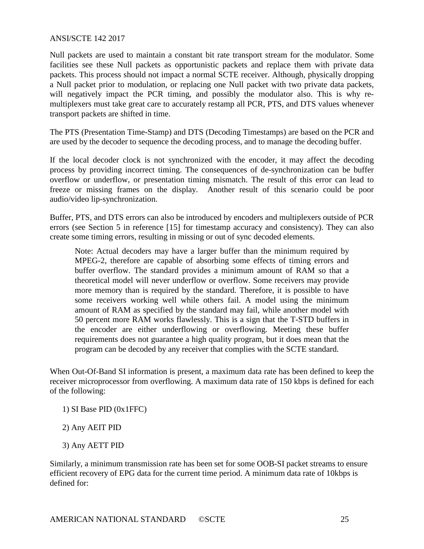Null packets are used to maintain a constant bit rate transport stream for the modulator. Some facilities see these Null packets as opportunistic packets and replace them with private data packets. This process should not impact a normal SCTE receiver. Although, physically dropping a Null packet prior to modulation, or replacing one Null packet with two private data packets, will negatively impact the PCR timing, and possibly the modulator also. This is why remultiplexers must take great care to accurately restamp all PCR, PTS, and DTS values whenever transport packets are shifted in time.

The PTS (Presentation Time-Stamp) and DTS (Decoding Timestamps) are based on the PCR and are used by the decoder to sequence the decoding process, and to manage the decoding buffer.

If the local decoder clock is not synchronized with the encoder, it may affect the decoding process by providing incorrect timing. The consequences of de-synchronization can be buffer overflow or underflow, or presentation timing mismatch. The result of this error can lead to freeze or missing frames on the display. Another result of this scenario could be poor audio/video lip-synchronization.

Buffer, PTS, and DTS errors can also be introduced by encoders and multiplexers outside of PCR errors (see Section 5 in reference [15] for timestamp accuracy and consistency). They can also create some timing errors, resulting in missing or out of sync decoded elements.

Note: Actual decoders may have a larger buffer than the minimum required by MPEG-2, therefore are capable of absorbing some effects of timing errors and buffer overflow. The standard provides a minimum amount of RAM so that a theoretical model will never underflow or overflow. Some receivers may provide more memory than is required by the standard. Therefore, it is possible to have some receivers working well while others fail. A model using the minimum amount of RAM as specified by the standard may fail, while another model with 50 percent more RAM works flawlessly. This is a sign that the T-STD buffers in the encoder are either underflowing or overflowing. Meeting these buffer requirements does not guarantee a high quality program, but it does mean that the program can be decoded by any receiver that complies with the SCTE standard.

When Out-Of-Band SI information is present, a maximum data rate has been defined to keep the receiver microprocessor from overflowing. A maximum data rate of 150 kbps is defined for each of the following:

1) SI Base PID (0x1FFC)

2) Any AEIT PID

3) Any AETT PID

Similarly, a minimum transmission rate has been set for some OOB-SI packet streams to ensure efficient recovery of EPG data for the current time period. A minimum data rate of 10kbps is defined for: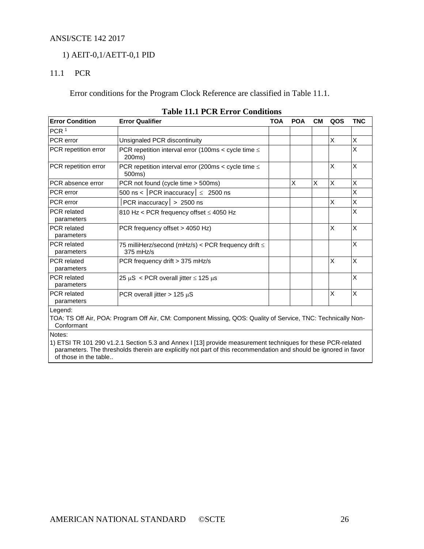# 1) AEIT-0,1/AETT-0,1 PID

# 11.1 PCR

Error conditions for the Program Clock Reference are classified in Table 11.1.

<span id="page-25-0"></span>

| <b>Error Condition</b>           | <b>Error Qualifier</b>                                                  | <b>TOA</b> | <b>POA</b> | CМ | QOS | <b>TNC</b> |
|----------------------------------|-------------------------------------------------------------------------|------------|------------|----|-----|------------|
| PCR <sup>1</sup>                 |                                                                         |            |            |    |     |            |
| PCR error                        | Unsignaled PCR discontinuity                                            |            |            |    | X   | X          |
| PCR repetition error             | PCR repetition interval error (100ms < cycle time $\leq$<br>200ms)      |            |            |    |     | X          |
| PCR repetition error             | PCR repetition interval error (200ms < cycle time $\leq$<br>500ms)      |            |            |    | X   | X          |
| PCR absence error                | PCR not found (cycle time > 500ms)                                      |            | X          | X  | X   | X          |
| PCR error                        | 500 ns <   PCR inaccuracy $  \leq 2500$ ns                              |            |            |    |     | X          |
| PCR error                        | PCR inaccuracy $  > 2500$ ns                                            |            |            |    | X   | X          |
| <b>PCR</b> related<br>parameters | 810 Hz < PCR frequency offset ≤ 4050 Hz                                 |            |            |    |     | X          |
| <b>PCR</b> related<br>parameters | PCR frequency offset > 4050 Hz)                                         |            |            |    | X   | X          |
| <b>PCR</b> related<br>parameters | 75 milliHerz/second (mHz/s) < PCR frequency drift $\leq$<br>$375$ mHz/s |            |            |    |     | X          |
| <b>PCR</b> related<br>parameters | PCR frequency drift > 375 mHz/s                                         |            |            |    | X   | X          |
| <b>PCR</b> related<br>parameters | 25 $\mu$ S < PCR overall jitter $\leq$ 125 $\mu$ s                      |            |            |    |     | X          |
| <b>PCR</b> related<br>parameters | PCR overall jitter $> 125 \mu S$                                        |            |            |    | X   | X          |
| egeng.                           |                                                                         |            |            |    |     |            |

#### **Table 11.1 PCR Error Conditions**

Legend:

TOA: TS Off Air, POA: Program Off Air, CM: Component Missing, QOS: Quality of Service, TNC: Technically Non-Conformant

Notes:

1) ETSI TR 101 290 v1.2.1 Section 5.3 and Annex I [13] provide measurement techniques for these PCR-related parameters. The thresholds therein are explicitly not part of this recommendation and should be ignored in favor of those in the table..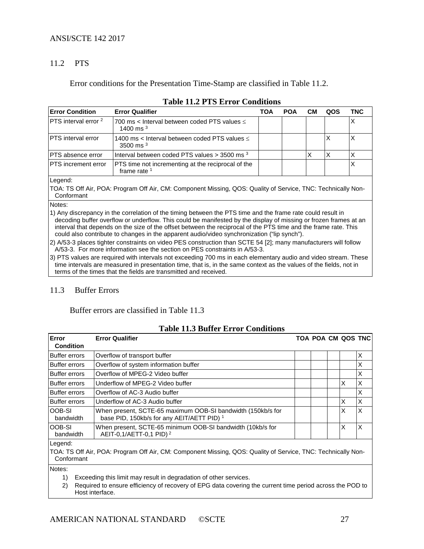# 11.2 PTS

Error conditions for the Presentation Time-Stamp are classified in Table 11.2.

<span id="page-26-0"></span>

| <b>Error Condition</b>                                                                                                     | <b>Error Qualifier</b>                                               | TOA | <b>POA</b> | CМ | QOS | <b>TNC</b> |
|----------------------------------------------------------------------------------------------------------------------------|----------------------------------------------------------------------|-----|------------|----|-----|------------|
| PTS interval error <sup>2</sup>                                                                                            | 700 ms < Interval between coded PTS values $\leq$<br>1400 ms $3$     |     |            |    |     | X          |
| <b>PTS</b> interval error                                                                                                  | 1400 ms < Interval between coded PTS values $\leq$<br>3500 ms $3$    |     |            |    | X   | Х          |
| PTS absence error                                                                                                          | Interval between coded PTS values $>$ 3500 ms $^3$                   |     |            | х  | X   | X          |
| PTS increment error                                                                                                        | PTS time not incrementing at the reciprocal of the<br>frame rate $1$ |     |            |    |     | X          |
| Legend:                                                                                                                    |                                                                      |     |            |    |     |            |
| TOA: TS Off Air, POA: Program Off Air, CM: Component Missing, QOS: Quality of Service, TNC: Technically Non-<br>Conformant |                                                                      |     |            |    |     |            |
|                                                                                                                            |                                                                      |     |            |    |     |            |

#### **Table 11.2 PTS Error Conditions**

Notes:

1) Any discrepancy in the correlation of the timing between the PTS time and the frame rate could result in decoding buffer overflow or underflow. This could be manifested by the display of missing or frozen frames at an interval that depends on the size of the offset between the reciprocal of the PTS time and the frame rate. This could also contribute to changes in the apparent audio/video synchronization ("lip synch").

2) A/53-3 places tighter constraints on video PES construction than SCTE 54 [2]; many manufacturers will follow A/53-3. For more information see the section on PES constraints in A/53-3.

3) PTS values are required with intervals not exceeding 700 ms in each elementary audio and video stream. These time intervals are measured in presentation time, that is, in the same context as the values of the fields, not in terms of the times that the fields are transmitted and received.

#### 11.3 Buffer Errors

### Buffer errors are classified in Table 11.3

#### **Table 11.3 Buffer Error Conditions**

<span id="page-26-1"></span>

| Error<br><b>Condition</b>  | <b>Error Qualifier</b>                                                                                               | <b>TOA POA CM QOS TNC</b> |   |          |
|----------------------------|----------------------------------------------------------------------------------------------------------------------|---------------------------|---|----------|
| <b>Buffer errors</b>       | Overflow of transport buffer                                                                                         |                           |   | X        |
| Buffer errors              | Overflow of system information buffer                                                                                |                           |   | X        |
| Buffer errors              | Overflow of MPEG-2 Video buffer                                                                                      |                           |   | X        |
| <b>Buffer errors</b>       | Underflow of MPEG-2 Video buffer                                                                                     |                           | X | $\times$ |
| Buffer errors              | Overflow of AC-3 Audio buffer                                                                                        |                           |   | X        |
| Buffer errors              | Underflow of AC-3 Audio buffer                                                                                       |                           | X | X        |
| <b>OOB-SI</b><br>bandwidth | When present, SCTE-65 maximum OOB-SI bandwidth (150kb/s for<br>base PID, 150kb/s for any AEIT/AETT PID) <sup>1</sup> |                           | X | X        |
| loob-si<br>bandwidth       | When present, SCTE-65 minimum OOB-SI bandwidth (10kb/s for<br>AEIT-0,1/AETT-0,1 PID) <sup>2</sup>                    |                           | X | X        |
| Legend:<br>Conformant      | TOA: TS Off Air, POA: Program Off Air, CM: Component Missing, QOS: Quality of Service, TNC: Technically Non-         |                           |   |          |

Notes:

1) Exceeding this limit may result in degradation of other services.

2) Required to ensure efficiency of recovery of EPG data covering the current time period across the POD to Host interface.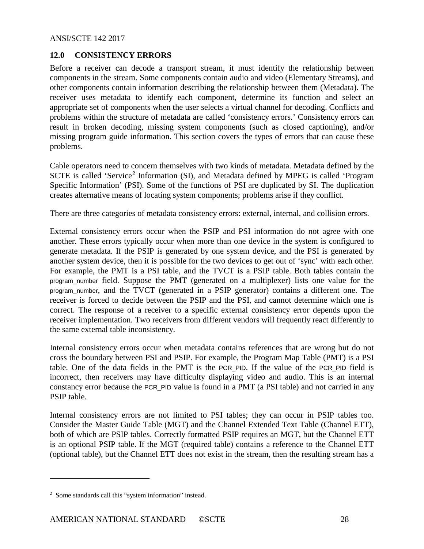# <span id="page-27-0"></span>**12.0 CONSISTENCY ERRORS**

Before a receiver can decode a transport stream, it must identify the relationship between components in the stream. Some components contain audio and video (Elementary Streams), and other components contain information describing the relationship between them (Metadata). The receiver uses metadata to identify each component, determine its function and select an appropriate set of components when the user selects a virtual channel for decoding. Conflicts and problems within the structure of metadata are called 'consistency errors.' Consistency errors can result in broken decoding, missing system components (such as closed captioning), and/or missing program guide information. This section covers the types of errors that can cause these problems.

Cable operators need to concern themselves with two kinds of metadata. Metadata defined by the SCTE is called 'Service<sup>[2](#page-27-1)</sup> Information (SI), and Metadata defined by MPEG is called 'Program Specific Information' (PSI). Some of the functions of PSI are duplicated by SI. The duplication creates alternative means of locating system components; problems arise if they conflict.

There are three categories of metadata consistency errors: external, internal, and collision errors.

External consistency errors occur when the PSIP and PSI information do not agree with one another. These errors typically occur when more than one device in the system is configured to generate metadata. If the PSIP is generated by one system device, and the PSI is generated by another system device, then it is possible for the two devices to get out of 'sync' with each other. For example, the PMT is a PSI table, and the TVCT is a PSIP table. Both tables contain the program\_number field. Suppose the PMT (generated on a multiplexer) lists one value for the program\_number, and the TVCT (generated in a PSIP generator) contains a different one. The receiver is forced to decide between the PSIP and the PSI, and cannot determine which one is correct. The response of a receiver to a specific external consistency error depends upon the receiver implementation. Two receivers from different vendors will frequently react differently to the same external table inconsistency.

Internal consistency errors occur when metadata contains references that are wrong but do not cross the boundary between PSI and PSIP. For example, the Program Map Table (PMT) is a PSI table. One of the data fields in the PMT is the PCR\_PID. If the value of the PCR\_PID field is incorrect, then receivers may have difficulty displaying video and audio. This is an internal constancy error because the PCR\_PID value is found in a PMT (a PSI table) and not carried in any PSIP table.

Internal consistency errors are not limited to PSI tables; they can occur in PSIP tables too. Consider the Master Guide Table (MGT) and the Channel Extended Text Table (Channel ETT), both of which are PSIP tables. Correctly formatted PSIP requires an MGT, but the Channel ETT is an optional PSIP table. If the MGT (required table) contains a reference to the Channel ETT (optional table), but the Channel ETT does not exist in the stream, then the resulting stream has a

 $\overline{a}$ 

<span id="page-27-1"></span><sup>&</sup>lt;sup>2</sup> Some standards call this "system information" instead.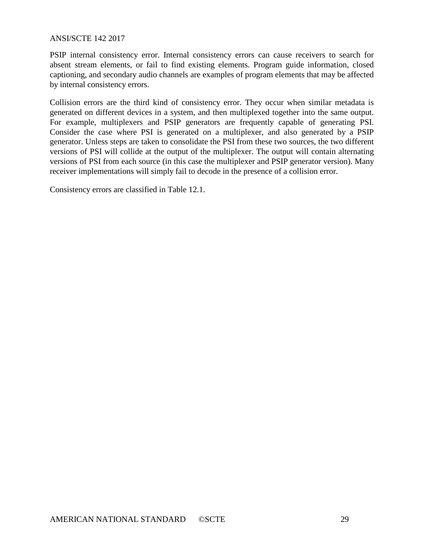PSIP internal consistency error. Internal consistency errors can cause receivers to search for absent stream elements, or fail to find existing elements. Program guide information, closed captioning, and secondary audio channels are examples of program elements that may be affected by internal consistency errors.

Collision errors are the third kind of consistency error. They occur when similar metadata is generated on different devices in a system, and then multiplexed together into the same output. For example, multiplexers and PSIP generators are frequently capable of generating PSI. Consider the case where PSI is generated on a multiplexer, and also generated by a PSIP generator. Unless steps are taken to consolidate the PSI from these two sources, the two different versions of PSI will collide at the output of the multiplexer. The output will contain alternating versions of PSI from each source (in this case the multiplexer and PSIP generator version). Many receiver implementations will simply fail to decode in the presence of a collision error.

Consistency errors are classified in Table 12.1.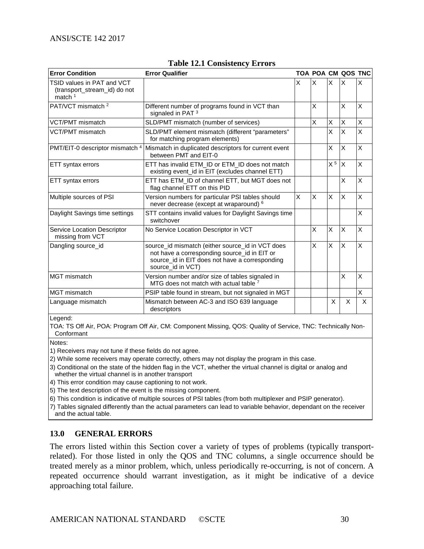<span id="page-29-1"></span>

| <b>Error Condition</b>                                                  | <b>Error Qualifier</b>                                                                                                                                                  |   |   |                | TOA POA CM QOS TNC |   |
|-------------------------------------------------------------------------|-------------------------------------------------------------------------------------------------------------------------------------------------------------------------|---|---|----------------|--------------------|---|
| TSID values in PAT and VCT<br>(transport_stream_id) do not<br>match $1$ |                                                                                                                                                                         | Χ | X | X              | X                  | X |
| PAT/VCT mismatch <sup>2</sup>                                           | Different number of programs found in VCT than<br>signaled in PAT <sup>3</sup>                                                                                          |   | X |                | X                  | X |
| <b>VCT/PMT</b> mismatch                                                 | SLD/PMT mismatch (number of services)                                                                                                                                   |   | X | X              | X                  | X |
| VCT/PMT mismatch                                                        | SLD/PMT element mismatch (different "parameters"<br>for matching program elements)                                                                                      |   |   | X              | X                  | X |
| PMT/EIT-0 descriptor mismatch 4                                         | Mismatch in duplicated descriptors for current event<br>between PMT and EIT-0                                                                                           |   |   | X              | X                  | X |
| ETT syntax errors                                                       | ETT has invalid ETM_ID or ETM_ID does not match<br>existing event_id in EIT (excludes channel ETT)                                                                      |   |   | X <sup>5</sup> | X                  | X |
| ETT syntax errors                                                       | ETT has ETM_ID of channel ETT, but MGT does not<br>flag channel ETT on this PID                                                                                         |   |   |                | X                  | X |
| Multiple sources of PSI                                                 | Version numbers for particular PSI tables should<br>never decrease (except at wraparound) <sup>6</sup>                                                                  | X | X | X              | X                  | X |
| Daylight Savings time settings                                          | STT contains invalid values for Daylight Savings time<br>switchover                                                                                                     |   |   |                |                    | X |
| Service Location Descriptor<br>missing from VCT                         | No Service Location Descriptor in VCT                                                                                                                                   |   | X | X              | X                  | X |
| Dangling source id                                                      | source_id mismatch (either source_id in VCT does<br>not have a corresponding source_id in EIT or<br>source_id in EIT does not have a corresponding<br>source_id in VCT) |   | X | X              | X                  | X |
| MGT mismatch                                                            | Version number and/or size of tables signaled in<br>MTG does not match with actual table 7                                                                              |   |   |                | X                  | X |
| MGT mismatch                                                            | PSIP table found in stream, but not signaled in MGT                                                                                                                     |   |   |                |                    | X |
| Language mismatch                                                       | Mismatch between AC-3 and ISO 639 language<br>descriptors                                                                                                               |   |   | X              | X                  | X |

#### **Table 12.1 Consistency Errors**

Legend:

TOA: TS Off Air, POA: Program Off Air, CM: Component Missing, QOS: Quality of Service, TNC: Technically Non-Conformant

Notes:

1) Receivers may not tune if these fields do not agree.

2) While some receivers may operate correctly, others may not display the program in this case.

3) Conditional on the state of the hidden flag in the VCT, whether the virtual channel is digital or analog and whether the virtual channel is in another transport

4) This error condition may cause captioning to not work.

5) The text description of the event is the missing component.

6) This condition is indicative of multiple sources of PSI tables (from both multiplexer and PSIP generator).

7) Tables signaled differently than the actual parameters can lead to variable behavior, dependant on the receiver and the actual table.

#### <span id="page-29-0"></span>**13.0 GENERAL ERRORS**

The errors listed within this Section cover a variety of types of problems (typically transportrelated). For those listed in only the QOS and TNC columns, a single occurrence should be treated merely as a minor problem, which, unless periodically re-occurring, is not of concern. A repeated occurrence should warrant investigation, as it might be indicative of a device approaching total failure.